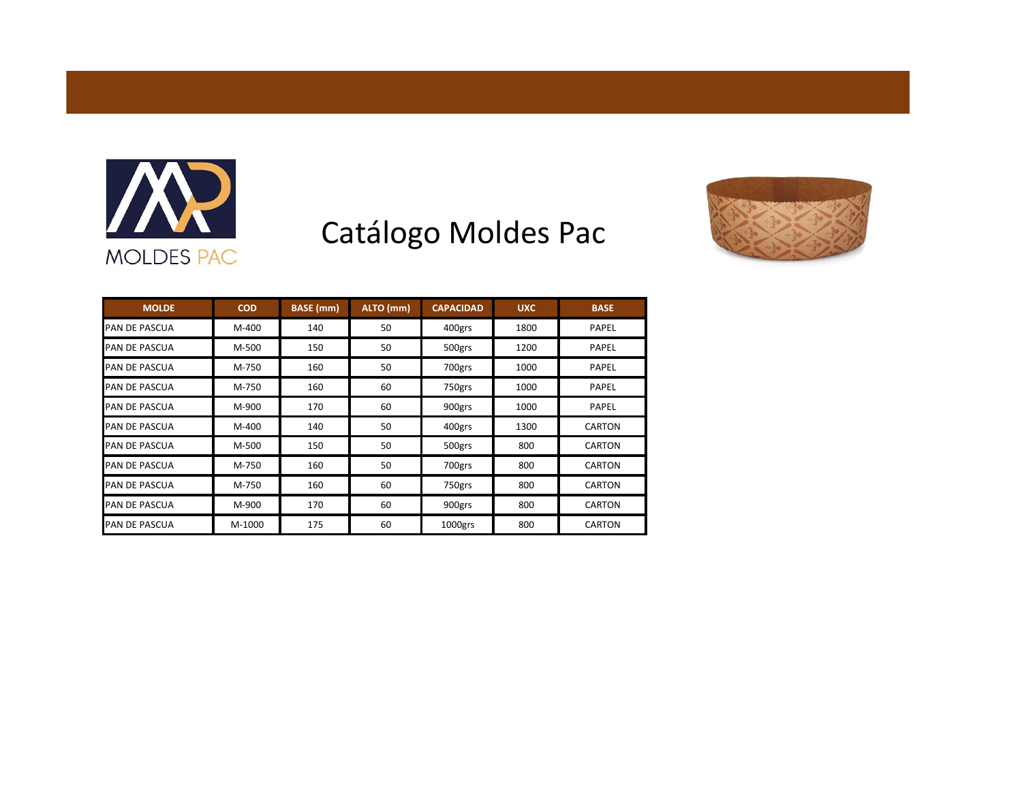

## Catálogo Moldes Pac



| <b>MOLDE</b>         | <b>COD</b> | <b>BASE</b> (mm) | ALTO (mm) | <b>CAPACIDAD</b> | <b>UXC</b> | <b>BASE</b>   |
|----------------------|------------|------------------|-----------|------------------|------------|---------------|
| <b>PAN DE PASCUA</b> | M-400      | 140              | 50        | 400grs           | 1800       | PAPEL         |
| <b>PAN DE PASCUA</b> | M-500      | 150              | 50        | 500grs           | 1200       | PAPEL         |
| <b>PAN DE PASCUA</b> | M-750      | 160              | 50        | 700grs           | 1000       | PAPEL         |
| <b>PAN DE PASCUA</b> | M-750      | 160              | 60        | 750grs           | 1000       | PAPEL         |
| <b>PAN DE PASCUA</b> | M-900      | 170              | 60        | 900grs           | 1000       | PAPEL         |
| <b>PAN DE PASCUA</b> | M-400      | 140              | 50        | 400grs           | 1300       | <b>CARTON</b> |
| <b>PAN DE PASCUA</b> | M-500      | 150              | 50        | 500grs           | 800        | <b>CARTON</b> |
| <b>PAN DE PASCUA</b> | M-750      | 160              | 50        | 700grs           | 800        | <b>CARTON</b> |
| <b>PAN DE PASCUA</b> | M-750      | 160              | 60        | 750grs           | 800        | <b>CARTON</b> |
| <b>PAN DE PASCUA</b> | M-900      | 170              | 60        | 900grs           | 800        | <b>CARTON</b> |
| <b>PAN DE PASCUA</b> | M-1000     | 175              | 60        | 1000grs          | 800        | CARTON        |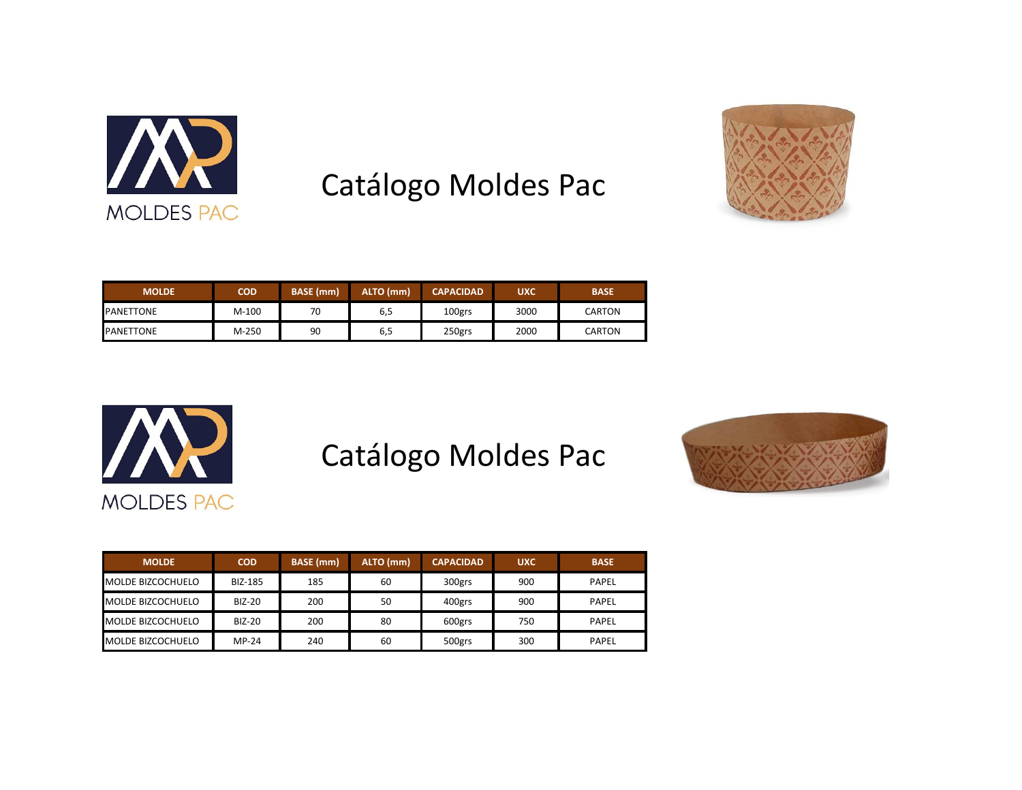

## Catálogo Moldes Pac



| <b>MOLDE</b>     | <b>COD</b> | <b>BASE</b> (mm) | ALTO (mm) | <b>CAPACIDAD</b> | <b>UXC</b> | <b>BASE</b>   |
|------------------|------------|------------------|-----------|------------------|------------|---------------|
| <b>PANETTONE</b> | $M-100$    | 70               | 6,5       | 100grs           | 3000       | CARTON        |
| <b>PANETTONE</b> | $M-250$    | 90               | 6,5       | 250grs           | 2000       | <b>CARTON</b> |



## Catálogo Moldes Pac



| <b>MOLDE</b>             | <b>COD</b>     | <b>BASE</b> (mm) | <b>ALTO (mm)</b> | <b>CAPACIDAD</b> | <b>UXC</b> | <b>BASE</b> |
|--------------------------|----------------|------------------|------------------|------------------|------------|-------------|
| <b>MOLDE BIZCOCHUELO</b> | <b>BIZ-185</b> | 185              | 60               | 300grs           | 900        | PAPEL       |
| <b>MOLDE BIZCOCHUELO</b> | <b>BIZ-20</b>  | 200              | 50               | 400grs           | 900        | PAPEL       |
| <b>MOLDE BIZCOCHUELO</b> | <b>BIZ-20</b>  | 200              | 80               | 600grs           | 750        | PAPEL       |
| <b>MOLDE BIZCOCHUELO</b> | $MP-24$        | 240              | 60               | 500grs           | 300        | PAPEL       |